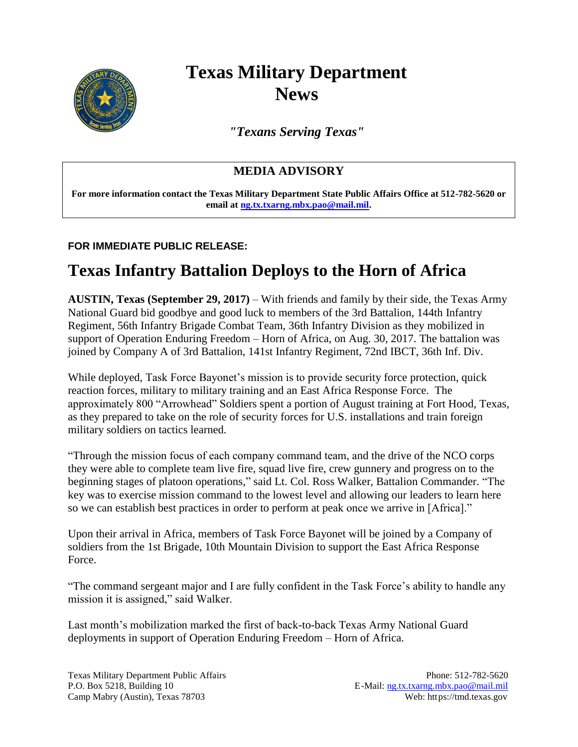

# **Texas Military Department News**

*"Texans Serving Texas"*

### **MEDIA ADVISORY**

**For more information contact the Texas Military Department State Public Affairs Office at 512-782-5620 or email at [ng.tx.txarng.mbx.pao@mail.mil.](mailto:ng.tx.txarng.mbx.pao@mail.mil)** 

#### **FOR IMMEDIATE PUBLIC RELEASE:**

## **Texas Infantry Battalion Deploys to the Horn of Africa**

**AUSTIN, Texas (September 29, 2017)** – With friends and family by their side, the Texas Army National Guard bid goodbye and good luck to members of the 3rd Battalion, 144th Infantry Regiment, 56th Infantry Brigade Combat Team, 36th Infantry Division as they mobilized in support of Operation Enduring Freedom – Horn of Africa, on Aug. 30, 2017. The battalion was joined by Company A of 3rd Battalion, 141st Infantry Regiment, 72nd IBCT, 36th Inf. Div.

While deployed, Task Force Bayonet's mission is to provide security force protection, quick reaction forces, military to military training and an East Africa Response Force. The approximately 800 "Arrowhead" Soldiers spent a portion of August training at Fort Hood, Texas, as they prepared to take on the role of security forces for U.S. installations and train foreign military soldiers on tactics learned.

"Through the mission focus of each company command team, and the drive of the NCO corps they were able to complete team live fire, squad live fire, crew gunnery and progress on to the beginning stages of platoon operations," said Lt. Col. Ross Walker, Battalion Commander. "The key was to exercise mission command to the lowest level and allowing our leaders to learn here so we can establish best practices in order to perform at peak once we arrive in [Africa]."

Upon their arrival in Africa, members of Task Force Bayonet will be joined by a Company of soldiers from the 1st Brigade, 10th Mountain Division to support the East Africa Response Force.

"The command sergeant major and I are fully confident in the Task Force's ability to handle any mission it is assigned," said Walker.

Last month's mobilization marked the first of back-to-back Texas Army National Guard deployments in support of Operation Enduring Freedom – Horn of Africa.